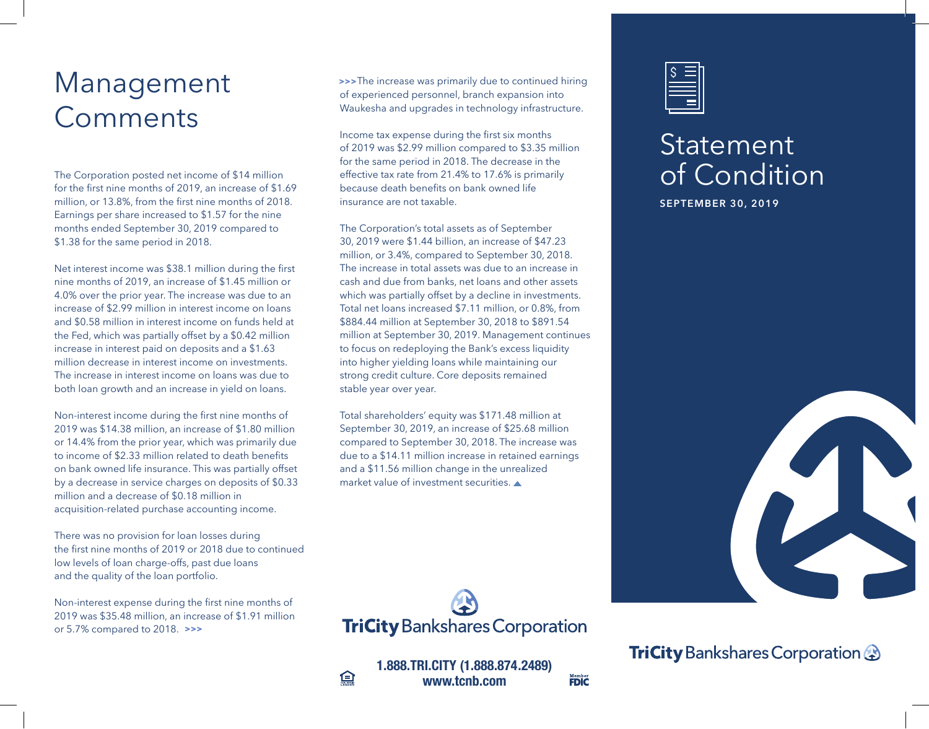## Management **Comments**

The Corporation posted net income of \$14 million for the first nine months of 2019, an increase of \$1.69 million, or 13.8%, from the first nine months of 2018. Earnings per share increased to \$1.57 for the nine months ended September 30, 2019 compared to \$1.38 for the same period in 2018.

Net interest income was \$38.1 million during the first nine months of 2019, an increase of \$1.45 million or 4.0% over the prior year. The increase was due to an increase of \$2.99 million in interest income on loans and \$0.58 million in interest income on funds held at the Fed, which was partially offset by a \$0.42 million increase in interest paid on deposits and a \$1.63 million decrease in interest income on investments. The increase in interest income on loans was due to both loan growth and an increase in yield on loans.

Non-interest income during the first nine months of 2019 was \$14.38 million, an increase of \$1.80 million or 14.4% from the prior year, which was primarily due to income of \$2.33 million related to death benefits on bank owned life insurance. This was partially offset by a decrease in service charges on deposits of \$0.33 million and a decrease of \$0.18 million in acquisition-related purchase accounting income.

There was no provision for loan losses during the first nine months of 2019 or 2018 due to continued low levels of loan charge-offs, past due loans and the quality of the loan portfolio.

Non-interest expense during the first nine months of 2019 was \$35.48 million, an increase of \$1.91 million or 5.7% compared to 2018. **>>>**

 The increase was primarily due to continued hiring **>>>**of experienced personnel, branch expansion into Waukesha and upgrades in technology infrastructure.

Income tax expense during the first six months of 2019 was \$2.99 million compared to \$3.35 million for the same period in 2018. The decrease in the effective tax rate from 21.4% to 17.6% is primarily because death benefits on bank owned life insurance are not taxable.

The Corporation's total assets as of September 30, 2019 were \$1.44 billion, an increase of \$47.23 million, or 3.4%, compared to September 30, 2018. The increase in total assets was due to an increase in cash and due from banks, net loans and other assets which was partially offset by a decline in investments. Total net loans increased \$7.11 million, or 0.8%, from \$884.44 million at September 30, 2018 to \$891.54 million at September 30, 2019. Management continues to focus on redeploying the Bank's excess liquidity into higher yielding loans while maintaining our strong credit culture. Core deposits remained stable year over year.

Total shareholders' equity was \$171.48 million at September 30, 2019, an increase of \$25.68 million compared to September 30, 2018. The increase was due to a \$14.11 million increase in retained earnings and a \$11.56 million change in the unrealized market value of investment securities.



**1.888.TRI.CITY (1.888.874.2489) www.tcnb.com**

**Member**<br>FDIC

鱼

## Statement of Condition

**SEPTEMBER 30, 2019**



**TriCity** Bankshares Corporation **@**